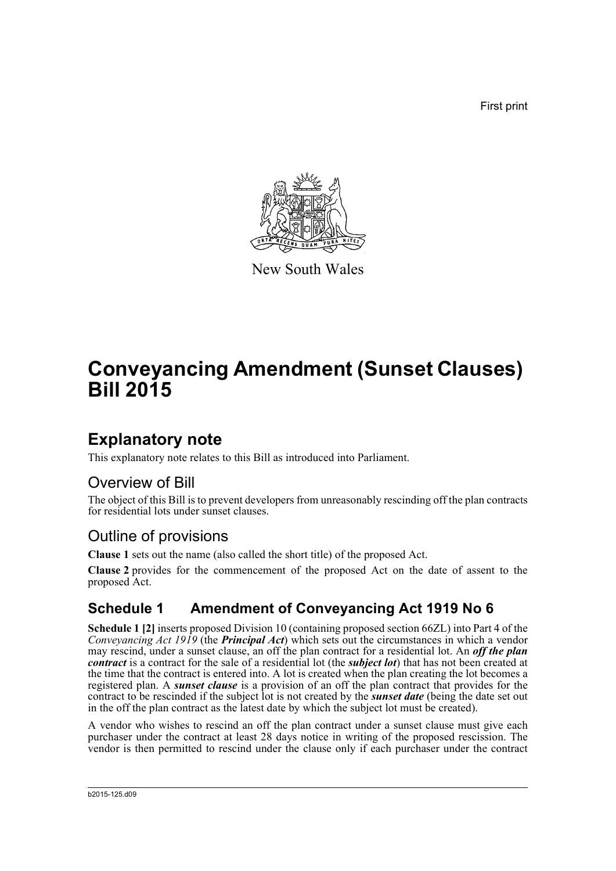First print



New South Wales

## **Conveyancing Amendment (Sunset Clauses) Bill 2015**

## **Explanatory note**

This explanatory note relates to this Bill as introduced into Parliament.

#### Overview of Bill

The object of this Bill is to prevent developers from unreasonably rescinding off the plan contracts for residential lots under sunset clauses.

### Outline of provisions

**Clause 1** sets out the name (also called the short title) of the proposed Act.

**Clause 2** provides for the commencement of the proposed Act on the date of assent to the proposed Act.

#### **Schedule 1 Amendment of Conveyancing Act 1919 No 6**

**Schedule 1 [2]** inserts proposed Division 10 (containing proposed section 66ZL) into Part 4 of the *Conveyancing Act 1919* (the *Principal Act*) which sets out the circumstances in which a vendor may rescind, under a sunset clause, an off the plan contract for a residential lot. An *off the plan contract* is a contract for the sale of a residential lot (the *subject lot*) that has not been created at the time that the contract is entered into. A lot is created when the plan creating the lot becomes a registered plan. A *sunset clause* is a provision of an off the plan contract that provides for the contract to be rescinded if the subject lot is not created by the *sunset date* (being the date set out in the off the plan contract as the latest date by which the subject lot must be created).

A vendor who wishes to rescind an off the plan contract under a sunset clause must give each purchaser under the contract at least 28 days notice in writing of the proposed rescission. The vendor is then permitted to rescind under the clause only if each purchaser under the contract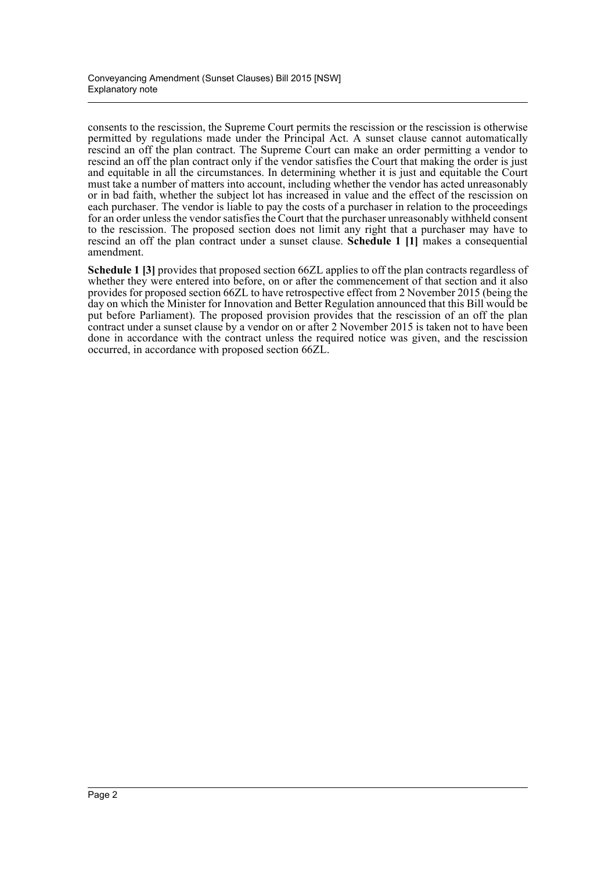consents to the rescission, the Supreme Court permits the rescission or the rescission is otherwise permitted by regulations made under the Principal Act. A sunset clause cannot automatically rescind an off the plan contract. The Supreme Court can make an order permitting a vendor to rescind an off the plan contract only if the vendor satisfies the Court that making the order is just and equitable in all the circumstances. In determining whether it is just and equitable the Court must take a number of matters into account, including whether the vendor has acted unreasonably or in bad faith, whether the subject lot has increased in value and the effect of the rescission on each purchaser. The vendor is liable to pay the costs of a purchaser in relation to the proceedings for an order unless the vendor satisfies the Court that the purchaser unreasonably withheld consent to the rescission. The proposed section does not limit any right that a purchaser may have to rescind an off the plan contract under a sunset clause. **Schedule 1 [1]** makes a consequential amendment.

**Schedule 1 [3]** provides that proposed section 66ZL applies to off the plan contracts regardless of whether they were entered into before, on or after the commencement of that section and it also provides for proposed section 66ZL to have retrospective effect from 2 November 2015 (being the day on which the Minister for Innovation and Better Regulation announced that this Bill would be put before Parliament). The proposed provision provides that the rescission of an off the plan contract under a sunset clause by a vendor on or after 2 November 2015 is taken not to have been done in accordance with the contract unless the required notice was given, and the rescission occurred, in accordance with proposed section 66ZL.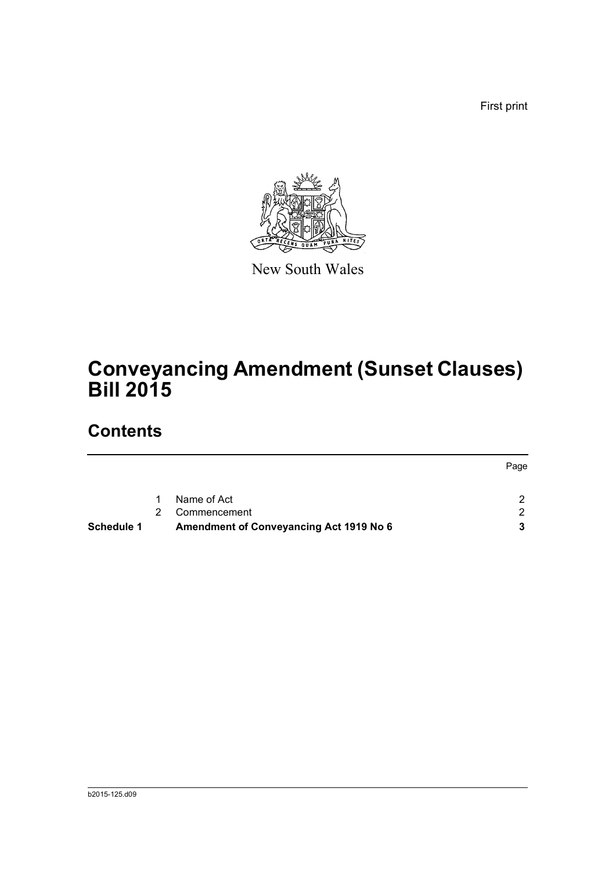First print



New South Wales

## **Conveyancing Amendment (Sunset Clauses) Bill 2015**

## **Contents**

| <b>Schedule 1</b> |   | <b>Amendment of Conveyancing Act 1919 No 6</b> |      |
|-------------------|---|------------------------------------------------|------|
|                   | 2 | Commencement                                   |      |
|                   |   | Name of Act                                    |      |
|                   |   |                                                | Page |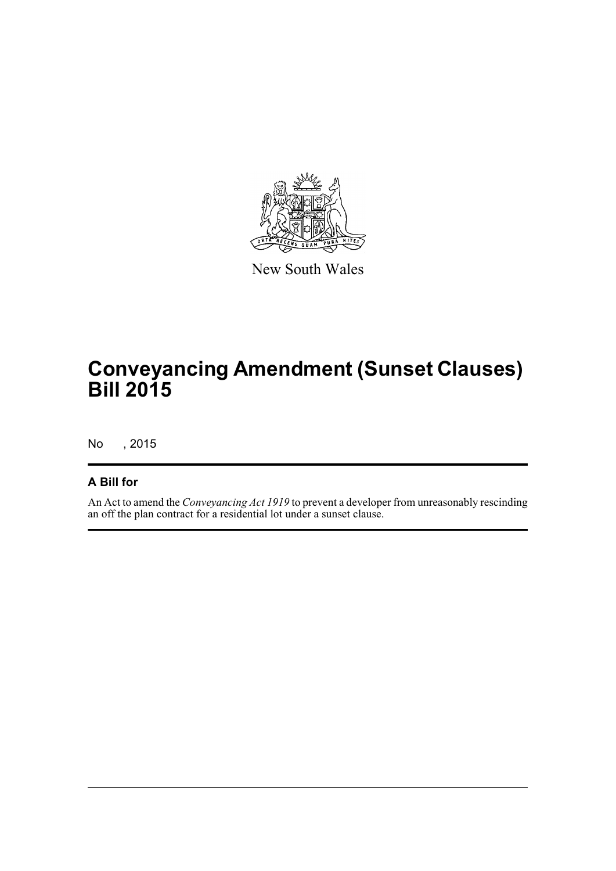

New South Wales

# **Conveyancing Amendment (Sunset Clauses) Bill 2015**

No , 2015

#### **A Bill for**

An Act to amend the *Conveyancing Act 1919* to prevent a developer from unreasonably rescinding an off the plan contract for a residential lot under a sunset clause.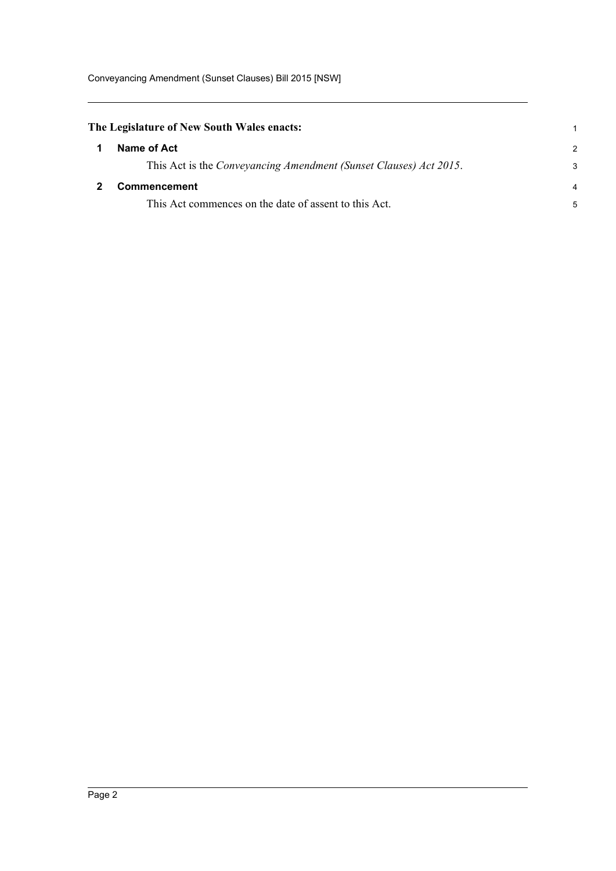<span id="page-4-1"></span><span id="page-4-0"></span>

| Name of Act                                                       | $\mathcal{P}$                              |
|-------------------------------------------------------------------|--------------------------------------------|
| This Act is the Conveyancing Amendment (Sunset Clauses) Act 2015. | 3                                          |
| <b>Commencement</b>                                               | 4                                          |
| This Act commences on the date of assent to this Act.             | 5                                          |
|                                                                   | The Legislature of New South Wales enacts: |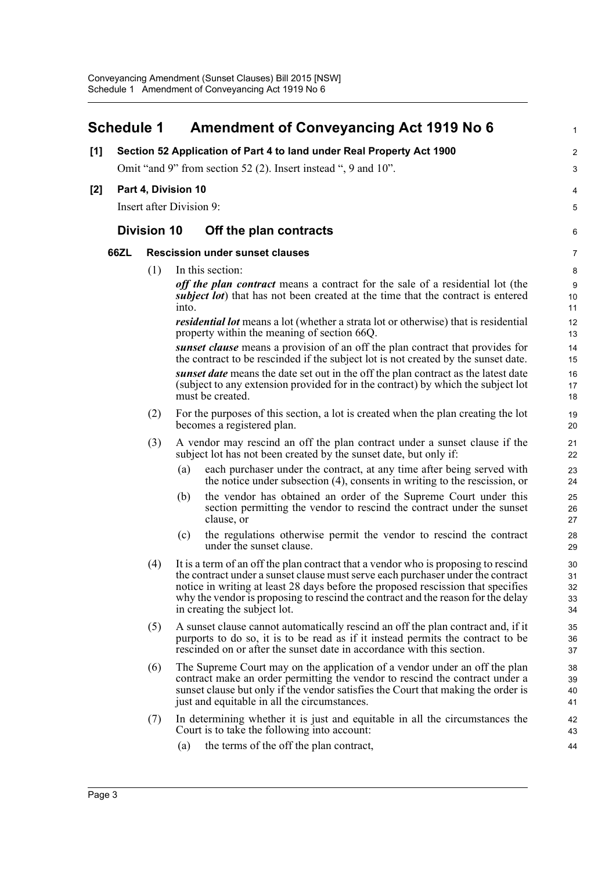#### <span id="page-5-0"></span>**Schedule 1 Amendment of Conveyancing Act 1919 No 6 [1] Section 52 Application of Part 4 to land under Real Property Act 1900** Omit "and 9" from section 52 (2). Insert instead ", 9 and 10". **[2] Part 4, Division 10** Insert after Division 9: **Division 10 Off the plan contracts 66ZL Rescission under sunset clauses** (1) In this section: *off the plan contract* means a contract for the sale of a residential lot (the *subject lot*) that has not been created at the time that the contract is entered into. *residential lot* means a lot (whether a strata lot or otherwise) that is residential property within the meaning of section 66Q. *sunset clause* means a provision of an off the plan contract that provides for the contract to be rescinded if the subject lot is not created by the sunset date. *sunset date* means the date set out in the off the plan contract as the latest date (subject to any extension provided for in the contract) by which the subject lot must be created. (2) For the purposes of this section, a lot is created when the plan creating the lot becomes a registered plan. (3) A vendor may rescind an off the plan contract under a sunset clause if the subject lot has not been created by the sunset date, but only if: (a) each purchaser under the contract, at any time after being served with the notice under subsection (4), consents in writing to the rescission, or (b) the vendor has obtained an order of the Supreme Court under this section permitting the vendor to rescind the contract under the sunset clause, or (c) the regulations otherwise permit the vendor to rescind the contract under the sunset clause. (4) It is a term of an off the plan contract that a vendor who is proposing to rescind the contract under a sunset clause must serve each purchaser under the contract notice in writing at least 28 days before the proposed rescission that specifies why the vendor is proposing to rescind the contract and the reason for the delay in creating the subject lot. (5) A sunset clause cannot automatically rescind an off the plan contract and, if it purports to do so, it is to be read as if it instead permits the contract to be rescinded on or after the sunset date in accordance with this section. (6) The Supreme Court may on the application of a vendor under an off the plan contract make an order permitting the vendor to rescind the contract under a sunset clause but only if the vendor satisfies the Court that making the order is just and equitable in all the circumstances. (7) In determining whether it is just and equitable in all the circumstances the Court is to take the following into account: (a) the terms of the off the plan contract, 1  $\overline{2}$ 3  $\overline{A}$ 5 6 7 8 9  $10$ 11 12 13 14 15 16 17 18 19 20 21 22 23 24 25 26 27 28 29 30 31 32 33 34 35 36 37 38 39 40 41 42 43 44